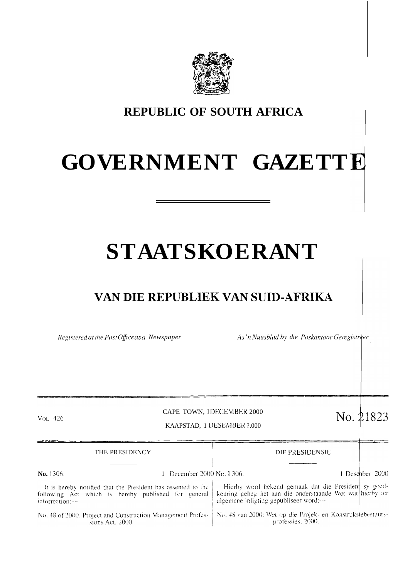

## **REPUBLIC OF SOUTH AFRICA**

## **GOVERNMENT GAZETT**

# **STAATSKOERANT**

## VAN DIE REPUBLIEK VAN SUID-AFRIKA

*Registered at ihe Post Office as a Newspaper As'n Nuusblad by die Poskantoor Geregistreer* 

professies, 2000.

### CAPE TOWN, IDECEMBER 2000 CAPE TOWN, IDECEMBER 2000<br>KAAPSTAD, 1 DESEMBER ?.000<br> $\text{No. } 21823$

**J**

| $Vol$ 426                                                                                                                               |                         | CAPE TOWN, IDECEMBER 2000<br>KAAPSTAD, 1 DESEMBER ?.000                                                                                                     | No. 21823       |
|-----------------------------------------------------------------------------------------------------------------------------------------|-------------------------|-------------------------------------------------------------------------------------------------------------------------------------------------------------|-----------------|
|                                                                                                                                         | THE PRESIDENCY          | DIE PRESIDENSIE                                                                                                                                             |                 |
| No. 1306.                                                                                                                               | December 2000 No. 1306. |                                                                                                                                                             | I Desember 2000 |
| It is hereby notified that the President has assented to the<br>following Act which is hereby published for general<br>information:---- |                         | Hierby word bekend gemaak dat die President sy goed-<br>keuring geheg het aan die onderstaande Wet wat hierby ter<br>algemene inligting gepubliseer word:-- |                 |
| No. 48 of 2000, Project and Construction Management Profes-   No. 48 van 2000: Wet op die Projek- en Konstruksiebestuurs-               |                         |                                                                                                                                                             |                 |

No. 48 of 2000. Project and Construction Management Professions Act, 2000.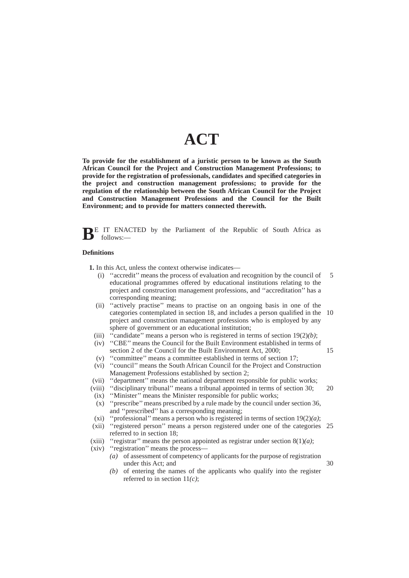## **ACT**

**To provide for the establishment of a juristic person to be known as the South African Council for the Project and Construction Management Professions; to provide for the registration of professionals, candidates and specified categories in the project and construction management professions; to provide for the regulation of the relationship between the South African Council for the Project and Construction Management Professions and the Council for the Built Environment; and to provide for matters connected therewith.**

**BE** IT ENACTED by the Parliament of the Republic of South Africa as follows:—

#### **Definitions**

**1.** In this Act, unless the context otherwise indicates—

- (i) ''accredit'' means the process of evaluation and recognition by the council of educational programmes offered by educational institutions relating to the project and construction management professions, and ''accreditation'' has a corresponding meaning; 5
- (ii) ''actively practise'' means to practise on an ongoing basis in one of the categories contemplated in section 18, and includes a person qualified in the 10 project and construction management professions who is employed by any sphere of government or an educational institution;
- (iii)  $\cdot$ <sup>c</sup>candidate'' means a person who is registered in terms of section 19(2)*(b)*;
- (iv) ''CBE'' means the Council for the Built Environment established in terms of section 2 of the Council for the Built Environment Act, 2000;
- (v) ''committee'' means a committee established in terms of section 17; (vi) ''council'' means the South African Council for the Project and Construction Management Professions established by section 2;
- (vii) ''department'' means the national department responsible for public works;
- (viii) ''disciplinary tribunal'' means a tribunal appointed in terms of section 30; 20
- (ix) ''Minister'' means the Minister responsible for public works;
- (x) ''prescribe'' means prescribed by a rule made by the council under section 36, and ''prescribed'' has a corresponding meaning;
- (xi) ''professional'' means a person who is registered in terms of section 19(2)*(a)*;
- (xii) ''registered person'' means a person registered under one of the categories 25 referred to in section 18;
- (xiii) "registrar" means the person appointed as registrar under section  $8(1)(a)$ ;
- (xiv) ''registration'' means the process—
	- *(a)* of assessment of competency of applicants for the purpose of registration under this Act; and
	- *(b)* of entering the names of the applicants who qualify into the register referred to in section 11*(c)*;

30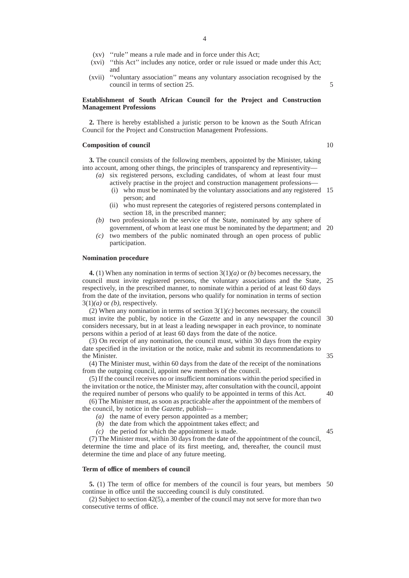- (xv) ''rule'' means a rule made and in force under this Act;
- (xvi) ''this Act'' includes any notice, order or rule issued or made under this Act; and
- (xvii) ''voluntary association'' means any voluntary association recognised by the council in terms of section 25.

#### **Establishment of South African Council for the Project and Construction Management Professions**

**2.** There is hereby established a juristic person to be known as the South African Council for the Project and Construction Management Professions.

#### **Composition of council**

10

5

**3.** The council consists of the following members, appointed by the Minister, taking into account, among other things, the principles of transparency and representivity—

- *(a)* six registered persons, excluding candidates, of whom at least four must actively practise in the project and construction management professions—
	- (i) who must be nominated by the voluntary associations and any registered 15 person; and
	- (ii) who must represent the categories of registered persons contemplated in section 18, in the prescribed manner;
- *(b)* two professionals in the service of the State, nominated by any sphere of government, of whom at least one must be nominated by the department; and 20
- *(c)* two members of the public nominated through an open process of public participation.

#### **Nomination procedure**

**4.** (1) When any nomination in terms of section 3(1)*(a)* or *(b)* becomes necessary, the council must invite registered persons, the voluntary associations and the State, 25 respectively, in the prescribed manner, to nominate within a period of at least 60 days from the date of the invitation, persons who qualify for nomination in terms of section  $3(1)(a)$  or  $(b)$ , respectively.

(2) When any nomination in terms of section  $3(1)(c)$  becomes necessary, the council must invite the public, by notice in the *Gazette* and in any newspaper the council 30 considers necessary, but in at least a leading newspaper in each province, to nominate persons within a period of at least 60 days from the date of the notice.

(3) On receipt of any nomination, the council must, within 30 days from the expiry date specified in the invitation or the notice, make and submit its recommendations to the Minister.

(4) The Minister must, within 60 days from the date of the receipt of the nominations from the outgoing council, appoint new members of the council.

(5) If the council receives no or insufficient nominations within the period specified in the invitation or the notice, the Minister may, after consultation with the council, appoint the required number of persons who qualify to be appointed in terms of this Act. 40

(6) The Minister must, as soon as practicable after the appointment of the members of the council, by notice in the *Gazette*, publish—

*(a)* the name of every person appointed as a member;

*(b)* the date from which the appointment takes effect; and

*(c)* the period for which the appointment is made.

45

35

(7) The Minister must, within 30 days from the date of the appointment of the council, determine the time and place of its first meeting, and, thereafter, the council must determine the time and place of any future meeting.

#### **Term of office of members of council**

**5.** (1) The term of office for members of the council is four years, but members 50continue in office until the succeeding council is duly constituted.

(2) Subject to section 42(5), a member of the council may not serve for more than two consecutive terms of office.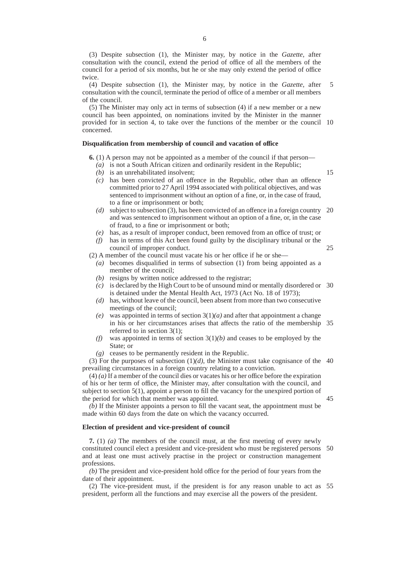(3) Despite subsection (1), the Minister may, by notice in the *Gazette*, after consultation with the council, extend the period of office of all the members of the council for a period of six months, but he or she may only extend the period of office twice.

(4) Despite subsection (1), the Minister may, by notice in the *Gazette*, after consultation with the council, terminate the period of office of a member or all members of the council. 5

(5) The Minister may only act in terms of subsection (4) if a new member or a new council has been appointed, on nominations invited by the Minister in the manner provided for in section 4, to take over the functions of the member or the council 10 concerned.

#### **Disqualification from membership of council and vacation of office**

**6.** (1) A person may not be appointed as a member of the council if that person—

- *(a)* is not a South African citizen and ordinarily resident in the Republic;
- *(b)* is an unrehabilitated insolvent;

15

45

- *(c)* has been convicted of an offence in the Republic, other than an offence committed prior to 27 April 1994 associated with political objectives, and was sentenced to imprisonment without an option of a fine, or, in the case of fraud, to a fine or imprisonment or both;
- *(d)* subject to subsection (3), has been convicted of an offence in a foreign country 20 and was sentenced to imprisonment without an option of a fine, or, in the case of fraud, to a fine or imprisonment or both;
- *(e)* has, as a result of improper conduct, been removed from an office of trust; or
- *(f)* has in terms of this Act been found guilty by the disciplinary tribunal or the council of improper conduct. 25

(2) A member of the council must vacate his or her office if he or she—

- *(a)* becomes disqualified in terms of subsection (1) from being appointed as a member of the council;
- *(b)* resigns by written notice addressed to the registrar;
- *(c)* is declared by the High Court to be of unsound mind or mentally disordered or 30 is detained under the Mental Health Act, 1973 (Act No. 18 of 1973);
- *(d)* has, without leave of the council, been absent from more than two consecutive meetings of the council;
- *(e)* was appointed in terms of section  $3(1)(a)$  and after that appointment a change in his or her circumstances arises that affects the ratio of the membership 35 referred to in section 3(1);
- *(f)* was appointed in terms of section 3(1)*(b)* and ceases to be employed by the State; or
- *(g)* ceases to be permanently resident in the Republic.

(3) For the purposes of subsection  $(1)(d)$ , the Minister must take cognisance of the 40 prevailing circumstances in a foreign country relating to a conviction.

(4) *(a)* If a member of the council dies or vacates his or her office before the expiration of his or her term of office, the Minister may, after consultation with the council, and subject to section 5(1), appoint a person to fill the vacancy for the unexpired portion of the period for which that member was appointed.

*(b)* If the Minister appoints a person to fill the vacant seat, the appointment must be made within 60 days from the date on which the vacancy occurred.

#### **Election of president and vice-president of council**

**7.** (1) *(a)* The members of the council must, at the first meeting of every newly constituted council elect a president and vice-president who must be registered persons 50 and at least one must actively practise in the project or construction management professions.

*(b)* The president and vice-president hold office for the period of four years from the date of their appointment.

(2) The vice-president must, if the president is for any reason unable to act as 55president, perform all the functions and may exercise all the powers of the president.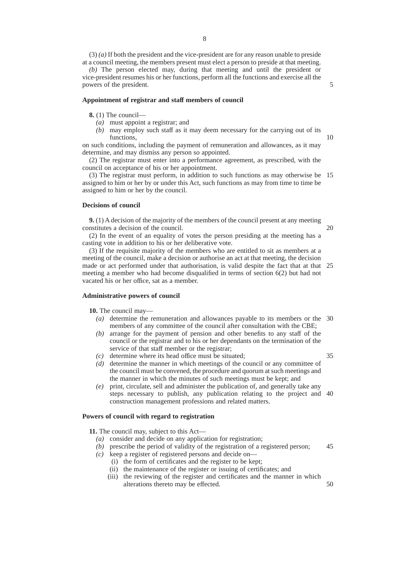(3) *(a)* If both the president and the vice-president are for any reason unable to preside at a council meeting, the members present must elect a person to preside at that meeting.

*(b)* The person elected may, during that meeting and until the president or vice-president resumes his or her functions, perform all the functions and exercise all the powers of the president.

#### **Appointment of registrar and staff members of council**

**8.** (1) The council—

- *(a)* must appoint a registrar; and
- *(b)* may employ such staff as it may deem necessary for the carrying out of its functions,

on such conditions, including the payment of remuneration and allowances, as it may determine, and may dismiss any person so appointed.

(2) The registrar must enter into a performance agreement, as prescribed, with the council on acceptance of his or her appointment.

(3) The registrar must perform, in addition to such functions as may otherwise be 15 assigned to him or her by or under this Act, such functions as may from time to time be assigned to him or her by the council.

#### **Decisions of council**

**9.** (1) A decision of the majority of the members of the council present at any meeting constitutes a decision of the council.

20

35

5

10

(2) In the event of an equality of votes the person presiding at the meeting has a casting vote in addition to his or her deliberative vote.

(3) If the requisite majority of the members who are entitled to sit as members at a meeting of the council, make a decision or authorise an act at that meeting, the decision made or act performed under that authorisation, is valid despite the fact that at that 25 meeting a member who had become disqualified in terms of section 6(2) but had not vacated his or her office, sat as a member.

#### **Administrative powers of council**

**10.** The council may—

- *(a)* determine the remuneration and allowances payable to its members or the 30 members of any committee of the council after consultation with the CBE;
- *(b)* arrange for the payment of pension and other benefits to any staff of the council or the registrar and to his or her dependants on the termination of the service of that staff member or the registrar;
- *(c)* determine where its head office must be situated;
- *(d)* determine the manner in which meetings of the council or any committee of the council must be convened, the procedure and quorum at such meetings and the manner in which the minutes of such meetings must be kept; and
- *(e)* print, circulate, sell and administer the publication of, and generally take any steps necessary to publish, any publication relating to the project and 40 construction management professions and related matters.

#### **Powers of council with regard to registration**

**11.** The council may, subject to this Act—

- *(a)* consider and decide on any application for registration;
- *(b)* prescribe the period of validity of the registration of a registered person; 45
- *(c)* keep a register of registered persons and decide on—
	- (i) the form of certificates and the register to be kept;
	- (ii) the maintenance of the register or issuing of certificates; and
	- (iii) the reviewing of the register and certificates and the manner in which alterations thereto may be effected. 50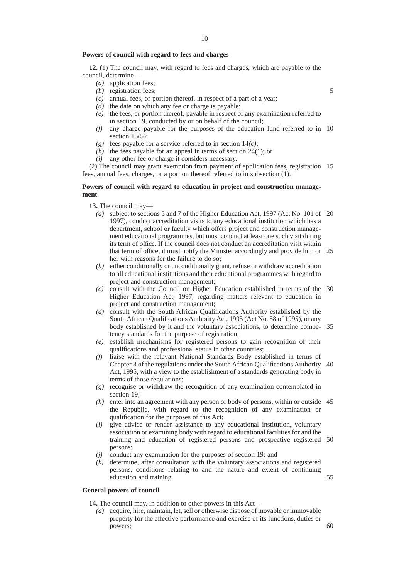#### **Powers of council with regard to fees and charges**

**12.** (1) The council may, with regard to fees and charges, which are payable to the council, determine—

- *(a)* application fees;
- *(b)* registration fees;
- *(c)* annual fees, or portion thereof, in respect of a part of a year;
- *(d)* the date on which any fee or charge is payable;
- *(e)* the fees, or portion thereof, payable in respect of any examination referred to in section 19, conducted by or on behalf of the council;
- *(f)* any charge payable for the purposes of the education fund referred to in 10 section  $15(5)$ ;
- *(g)* fees payable for a service referred to in section 14*(c)*;
- *(h)* the fees payable for an appeal in terms of section 24(1); or
- *(i)* any other fee or charge it considers necessary.

(2) The council may grant exemption from payment of application fees, registration 15 fees, annual fees, charges, or a portion thereof referred to in subsection (1).

#### **Powers of council with regard to education in project and construction management**

#### **13.** The council may—

- *(a)* subject to sections 5 and 7 of the Higher Education Act, 1997 (Act No. 101 of 20 1997), conduct accreditation visits to any educational institution which has a department, school or faculty which offers project and construction management educational programmes, but must conduct at least one such visit during its term of office. If the council does not conduct an accreditation visit within that term of office, it must notify the Minister accordingly and provide him or 25 her with reasons for the failure to do so;
- *(b)* either conditionally or unconditionally grant, refuse or withdraw accreditation to all educational institutions and their educational programmes with regard to project and construction management;
- *(c)* consult with the Council on Higher Education established in terms of the 30 Higher Education Act, 1997, regarding matters relevant to education in project and construction management;
- *(d)* consult with the South African Qualifications Authority established by the South African Qualifications Authority Act, 1995 (Act No. 58 of 1995), or any body established by it and the voluntary associations, to determine compe-35 tency standards for the purpose of registration;
- *(e)* establish mechanisms for registered persons to gain recognition of their qualifications and professional status in other countries;
- *(f)* liaise with the relevant National Standards Body established in terms of Chapter 3 of the regulations under the South African Qualifications Authority 40 Act, 1995, with a view to the establishment of a standards generating body in terms of those regulations;
- *(g)* recognise or withdraw the recognition of any examination contemplated in section 19;
- *(h)* enter into an agreement with any person or body of persons, within or outside 45 the Republic, with regard to the recognition of any examination or qualification for the purposes of this Act;
- *(i)* give advice or render assistance to any educational institution, voluntary association or examining body with regard to educational facilities for and the training and education of registered persons and prospective registered 50 persons;
- conduct any examination for the purposes of section 19; and
- *(k)* determine, after consultation with the voluntary associations and registered persons, conditions relating to and the nature and extent of continuing education and training.

#### **General powers of council**

**14.** The council may, in addition to other powers in this Act—

*(a)* acquire, hire, maintain, let, sell or otherwise dispose of movable or immovable property for the effective performance and exercise of its functions, duties or powers;

5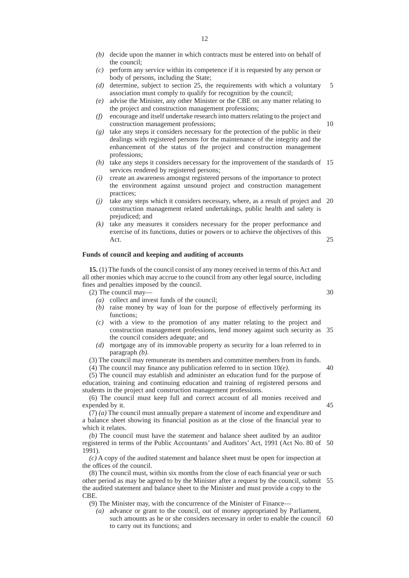- *(b)* decide upon the manner in which contracts must be entered into on behalf of the council;
- *(c)* perform any service within its competence if it is requested by any person or body of persons, including the State;
- *(d)* determine, subject to section 25, the requirements with which a voluntary association must comply to qualify for recognition by the council; 5
- *(e)* advise the Minister, any other Minister or the CBE on any matter relating to the project and construction management professions;
- *(f)* encourage and itself undertake research into matters relating to the project and construction management professions;
- *(g)* take any steps it considers necessary for the protection of the public in their dealings with registered persons for the maintenance of the integrity and the enhancement of the status of the project and construction management professions;
- *(h)* take any steps it considers necessary for the improvement of the standards of 15 services rendered by registered persons;
- *(i)* create an awareness amongst registered persons of the importance to protect the environment against unsound project and construction management practices;
- *(j)* take any steps which it considers necessary, where, as a result of project and 20 construction management related undertakings, public health and safety is prejudiced; and
- *(k)* take any measures it considers necessary for the proper performance and exercise of its functions, duties or powers or to achieve the objectives of this Act. 25

#### **Funds of council and keeping and auditing of accounts**

**15.** (1) The funds of the council consist of any money received in terms of this Act and all other monies which may accrue to the council from any other legal source, including fines and penalties imposed by the council.

(2) The council may—

- *(a)* collect and invest funds of the council;
- *(b)* raise money by way of loan for the purpose of effectively performing its functions;
- *(c)* with a view to the promotion of any matter relating to the project and construction management professions, lend money against such security as the council considers adequate; and 35
- *(d)* mortgage any of its immovable property as security for a loan referred to in paragraph *(b)*.
- (3) The council may remunerate its members and committee members from its funds.
- (4) The council may finance any publication referred to in section 10*(e)*.

(5) The council may establish and administer an education fund for the purpose of education, training and continuing education and training of registered persons and students in the project and construction management professions.

(6) The council must keep full and correct account of all monies received and expended by it. 45

(7) *(a)* The council must annually prepare a statement of income and expenditure and a balance sheet showing its financial position as at the close of the financial year to which it relates.

*(b)* The council must have the statement and balance sheet audited by an auditor registered in terms of the Public Accountants' and Auditors' Act, 1991 (Act No. 80 of 50 1991).

*(c)* A copy of the audited statement and balance sheet must be open for inspection at the offices of the council.

(8) The council must, within six months from the close of each financial year or such other period as may be agreed to by the Minister after a request by the council, submit 55 the audited statement and balance sheet to the Minister and must provide a copy to the **CBE** 

(9) The Minister may, with the concurrence of the Minister of Finance—

*(a)* advance or grant to the council, out of money appropriated by Parliament, such amounts as he or she considers necessary in order to enable the council 60 to carry out its functions; and

10

30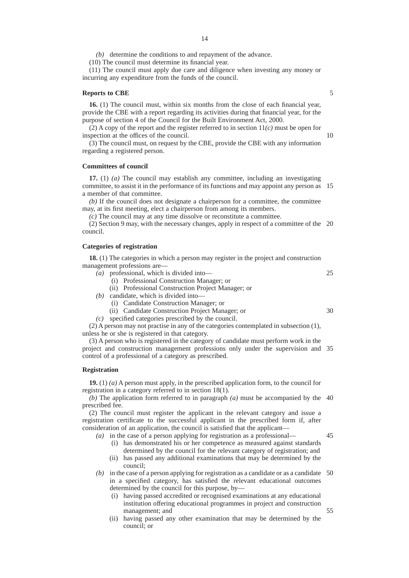*(b)* determine the conditions to and repayment of the advance.

(10) The council must determine its financial year.

(11) The council must apply due care and diligence when investing any money or incurring any expenditure from the funds of the council.

#### **Reports to CBE**

**16.** (1) The council must, within six months from the close of each financial year, provide the CBE with a report regarding its activities during that financial year, for the purpose of section 4 of the Council for the Built Environment Act, 2000.

(2) A copy of the report and the register referred to in section 11*(c)* must be open for inspection at the offices of the council.

(3) The council must, on request by the CBE, provide the CBE with any information regarding a registered person.

#### **Committees of council**

**17.** (1) *(a)* The council may establish any committee, including an investigating committee, to assist it in the performance of its functions and may appoint any person as 15 a member of that committee.

*(b)* If the council does not designate a chairperson for a committee, the committee may, at its first meeting, elect a chairperson from among its members.

*(c)* The council may at any time dissolve or reconstitute a committee.

(2) Section 9 may, with the necessary changes, apply in respect of a committee of the 20 council.

#### **Categories of registration**

**18.** (1) The categories in which a person may register in the project and construction management professions are—

- *(a)* professional, which is divided into—
	- (i) Professional Construction Manager; or
	- (ii) Professional Construction Project Manager; or
- *(b)* candidate, which is divided into—
	- (i) Candidate Construction Manager; or
	- (ii) Candidate Construction Project Manager; or
- *(c)* specified categories prescribed by the council.

(2) A person may not practise in any of the categories contemplated in subsection (1), unless he or she is registered in that category.

(3) A person who is registered in the category of candidate must perform work in the project and construction management professions only under the supervision and 35 control of a professional of a category as prescribed.

#### **Registration**

**19.** (1) *(a)* A person must apply, in the prescribed application form, to the council for registration in a category referred to in section 18(1).

*(b)* The application form referred to in paragraph *(a)* must be accompanied by the 40 prescribed fee.

(2) The council must register the applicant in the relevant category and issue a registration certificate to the successful applicant in the prescribed form if, after consideration of an application, the council is satisfied that the applicant—

- *(a)* in the case of a person applying for registration as a professional—
	- (i) has demonstrated his or her competence as measured against standards determined by the council for the relevant category of registration; and
	- (ii) has passed any additional examinations that may be determined by the council;
- *(b)* in the case of a person applying for registration as a candidate or as a candidate in a specified category, has satisfied the relevant educational outcomes determined by the council for this purpose, by— 50
	- (i) having passed accredited or recognised examinations at any educational institution offering educational programmes in project and construction management; and
	- (ii) having passed any other examination that may be determined by the council; or

10

25

30

45

55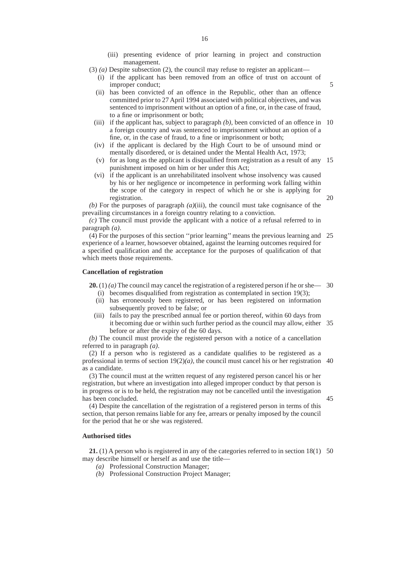(iii) presenting evidence of prior learning in project and construction management.

5

20

45

- (3) *(a)* Despite subsection (2), the council may refuse to register an applicant—
	- (i) if the applicant has been removed from an office of trust on account of improper conduct;
	- (ii) has been convicted of an offence in the Republic, other than an offence committed prior to 27 April 1994 associated with political objectives, and was sentenced to imprisonment without an option of a fine, or, in the case of fraud, to a fine or imprisonment or both;
	- (iii) if the applicant has, subject to paragraph  $(b)$ , been convicted of an offence in 10 a foreign country and was sentenced to imprisonment without an option of a fine, or, in the case of fraud, to a fine or imprisonment or both;
	- (iv) if the applicant is declared by the High Court to be of unsound mind or mentally disordered, or is detained under the Mental Health Act, 1973;
	- (v) for as long as the applicant is disqualified from registration as a result of any 15 punishment imposed on him or her under this Act;
	- (vi) if the applicant is an unrehabilitated insolvent whose insolvency was caused by his or her negligence or incompetence in performing work falling within the scope of the category in respect of which he or she is applying for registration.

*(b)* For the purposes of paragraph *(a)*(iii), the council must take cognisance of the prevailing circumstances in a foreign country relating to a conviction.

*(c)* The council must provide the applicant with a notice of a refusal referred to in paragraph *(a)*.

(4) For the purposes of this section ''prior learning'' means the previous learning and 25 experience of a learner, howsoever obtained, against the learning outcomes required for a specified qualification and the acceptance for the purposes of qualification of that which meets those requirements.

#### **Cancellation of registration**

**20.** (1) *(a)* The council may cancel the registration of a registered person if he or she— 30

- (i) becomes disqualified from registration as contemplated in section 19(3);
- (ii) has erroneously been registered, or has been registered on information subsequently proved to be false; or
- (iii) fails to pay the prescribed annual fee or portion thereof, within 60 days from it becoming due or within such further period as the council may allow, either 35 before or after the expiry of the 60 days.

*(b)* The council must provide the registered person with a notice of a cancellation referred to in paragraph *(a)*.

(2) If a person who is registered as a candidate qualifies to be registered as a professional in terms of section  $19(2)(a)$ , the council must cancel his or her registration 40 as a candidate.

(3) The council must at the written request of any registered person cancel his or her registration, but where an investigation into alleged improper conduct by that person is in progress or is to be held, the registration may not be cancelled until the investigation has been concluded.

(4) Despite the cancellation of the registration of a registered person in terms of this section, that person remains liable for any fee, arrears or penalty imposed by the council for the period that he or she was registered.

#### **Authorised titles**

**21.** (1) A person who is registered in any of the categories referred to in section 18(1) 50may describe himself or herself as and use the title—

- *(a)* Professional Construction Manager;
- *(b)* Professional Construction Project Manager;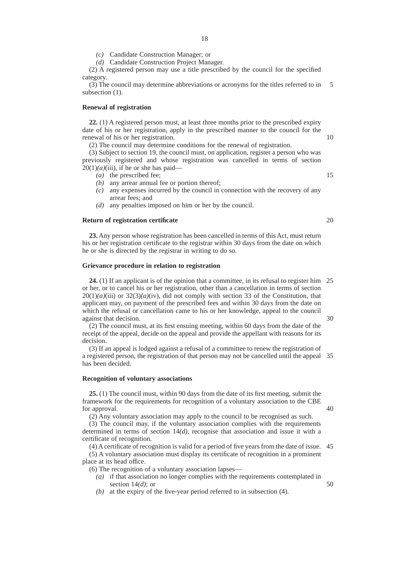*(c)* Candidate Construction Manager; or

*(d)* Candidate Construction Project Manager.

(2) A registered person may use a title prescribed by the council for the specified category.

(3) The council may determine abbreviations or acronyms for the titles referred to in subsection  $(1)$ . 5

#### **Renewal of registration**

**22.** (1) A registered person must, at least three months prior to the prescribed expiry date of his or her registration, apply in the prescribed manner to the council for the renewal of his or her registration.

(2) The council may determine conditions for the renewal of registration.

(3) Subject to section 19, the council must, on application, register a person who was previously registered and whose registration was cancelled in terms of section  $20(1)(a)(iii)$ , if he or she has paid-

- *(a)* the prescribed fee;
- *(b)* any arrear annual fee or portion thereof;
- *(c)* any expenses incurred by the council in connection with the recovery of any arrear fees; and
- *(d)* any penalties imposed on him or her by the council.

#### **Return of registration certificate**

**23.** Any person whose registration has been cancelled in terms of this Act, must return his or her registration certificate to the registrar within 30 days from the date on which he or she is directed by the registrar in writing to do so.

#### **Grievance procedure in relation to registration**

**24.** (1) If an applicant is of the opinion that a committee, in its refusal to register him 25 or her, or to cancel his or her registration, other than a cancellation in terms of section  $20(1)(a)(iii)$  or  $32(3)(a)(iv)$ , did not comply with section 33 of the Constitution, that applicant may, on payment of the prescribed fees and within 30 days from the date on which the refusal or cancellation came to his or her knowledge, appeal to the council against that decision. 30

(2) The council must, at its first ensuing meeting, within 60 days from the date of the receipt of the appeal, decide on the appeal and provide the appellant with reasons for its decision.

(3) If an appeal is lodged against a refusal of a committee to renew the registration of a registered person, the registration of that person may not be cancelled until the appeal 35 has been decided.

#### **Recognition of voluntary associations**

**25.** (1) The council must, within 90 days from the date of its first meeting, submit the framework for the requirements for recognition of a voluntary association to the CBE for approval.

(2) Any voluntary association may apply to the council to be recognised as such.

(3) The council may, if the voluntary association complies with the requirements determined in terms of section 14*(d)*, recognise that association and issue it with a certificate of recognition.

(4) A certificate of recognition is valid for a period of five years from the date of issue. 45

(5) A voluntary association must display its certificate of recognition in a prominent place at its head office.

(6) The recognition of a voluntary association lapses—

- *(a)* if that association no longer complies with the requirements contemplated in section 14*(d)*; or
- *(b)* at the expiry of the five-year period referred to in subsection (4).

20

10

15

40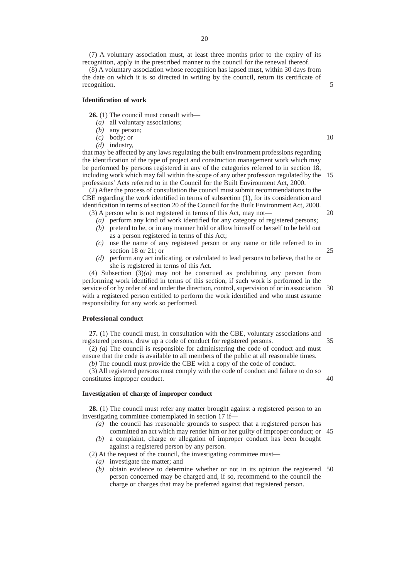(7) A voluntary association must, at least three months prior to the expiry of its recognition, apply in the prescribed manner to the council for the renewal thereof.

(8) A voluntary association whose recognition has lapsed must, within 30 days from the date on which it is so directed in writing by the council, return its certificate of recognition.

#### **Identification of work**

**26.** (1) The council must consult with—

- *(a)* all voluntary associations;
- *(b)* any person;
- *(c)* body; or
- *(d)* industry,

that may be affected by any laws regulating the built environment professions regarding the identification of the type of project and construction management work which may be performed by persons registered in any of the categories referred to in section 18, including work which may fall within the scope of any other profession regulated by the 15 professions' Acts referred to in the Council for the Built Environment Act, 2000.

(2) After the process of consultation the council must submit recommendations to the CBE regarding the work identified in terms of subsection (1), for its consideration and identification in terms of section 20 of the Council for the Built Environment Act, 2000.

- (3) A person who is not registered in terms of this Act, may not— *(a)* perform any kind of work identified for any category of registered persons;
	- *(b)* pretend to be, or in any manner hold or allow himself or herself to be held out as a person registered in terms of this Act;
	- *(c)* use the name of any registered person or any name or title referred to in section 18 or 21; or 25
	- *(d)* perform any act indicating, or calculated to lead persons to believe, that he or she is registered in terms of this Act.

(4) Subsection (3)*(a)* may not be construed as prohibiting any person from performing work identified in terms of this section, if such work is performed in the service of or by order of and under the direction, control, supervision of or in association 30 with a registered person entitled to perform the work identified and who must assume responsibility for any work so performed.

#### **Professional conduct**

**27.** (1) The council must, in consultation with the CBE, voluntary associations and registered persons, draw up a code of conduct for registered persons.

(2) *(a)* The council is responsible for administering the code of conduct and must ensure that the code is available to all members of the public at all reasonable times.

*(b)* The council must provide the CBE with a copy of the code of conduct.

(3) All registered persons must comply with the code of conduct and failure to do so constitutes improper conduct.

#### **Investigation of charge of improper conduct**

**28.** (1) The council must refer any matter brought against a registered person to an investigating committee contemplated in section 17 if—

- *(a)* the council has reasonable grounds to suspect that a registered person has committed an act which may render him or her guilty of improper conduct; or 45
- *(b)* a complaint, charge or allegation of improper conduct has been brought against a registered person by any person.

(2) At the request of the council, the investigating committee must—

- *(a)* investigate the matter; and
- *(b)* obtain evidence to determine whether or not in its opinion the registered 50person concerned may be charged and, if so, recommend to the council the charge or charges that may be preferred against that registered person.

10

5

20

40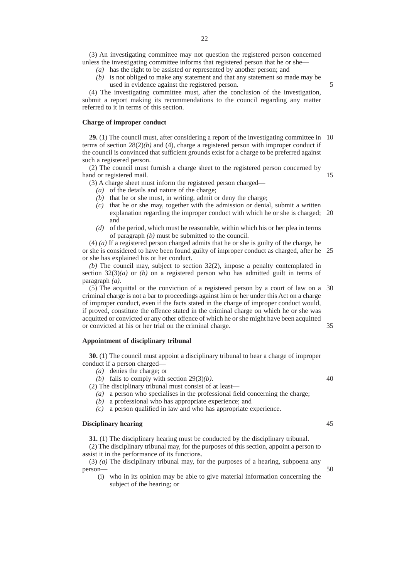- *(a)* has the right to be assisted or represented by another person; and
- *(b)* is not obliged to make any statement and that any statement so made may be used in evidence against the registered person.

5

(4) The investigating committee must, after the conclusion of the investigation, submit a report making its recommendations to the council regarding any matter referred to it in terms of this section.

#### **Charge of improper conduct**

**29.** (1) The council must, after considering a report of the investigating committee in 10 terms of section  $28(2)(b)$  and (4), charge a registered person with improper conduct if the council is convinced that sufficient grounds exist for a charge to be preferred against such a registered person.

(2) The council must furnish a charge sheet to the registered person concerned by hand or registered mail. 15

(3) A charge sheet must inform the registered person charged—

- *(a)* of the details and nature of the charge;
- *(b)* that he or she must, in writing, admit or deny the charge;
- *(c)* that he or she may, together with the admission or denial, submit a written explanation regarding the improper conduct with which he or she is charged; 20 and
- *(d)* of the period, which must be reasonable, within which his or her plea in terms of paragraph *(b)* must be submitted to the council.

(4) *(a)* If a registered person charged admits that he or she is guilty of the charge, he or she is considered to have been found guilty of improper conduct as charged, after he 25 or she has explained his or her conduct.

*(b)* The council may, subject to section 32(2), impose a penalty contemplated in section  $32(3)(a)$  or *(b)* on a registered person who has admitted guilt in terms of paragraph *(a)*.

(5) The acquittal or the conviction of a registered person by a court of law on a 30 criminal charge is not a bar to proceedings against him or her under this Act on a charge of improper conduct, even if the facts stated in the charge of improper conduct would, if proved, constitute the offence stated in the criminal charge on which he or she was acquitted or convicted or any other offence of which he or she might have been acquitted or convicted at his or her trial on the criminal charge. 35

#### **Appointment of disciplinary tribunal**

**30.** (1) The council must appoint a disciplinary tribunal to hear a charge of improper conduct if a person charged—

- *(a)* denies the charge; or
- *(b)* fails to comply with section 29(3)*(b)*.

(2) The disciplinary tribunal must consist of at least—

*(a)* a person who specialises in the professional field concerning the charge;

- *(b)* a professional who has appropriate experience; and
- *(c)* a person qualified in law and who has appropriate experience.

#### **Disciplinary hearing**

**31.** (1) The disciplinary hearing must be conducted by the disciplinary tribunal.

(2) The disciplinary tribunal may, for the purposes of this section, appoint a person to assist it in the performance of its functions.

(3) *(a)* The disciplinary tribunal may, for the purposes of a hearing, subpoena any person— 50

- (i) who in its opinion may be able to give material information concerning the subject of the hearing; or
- 45
- 
-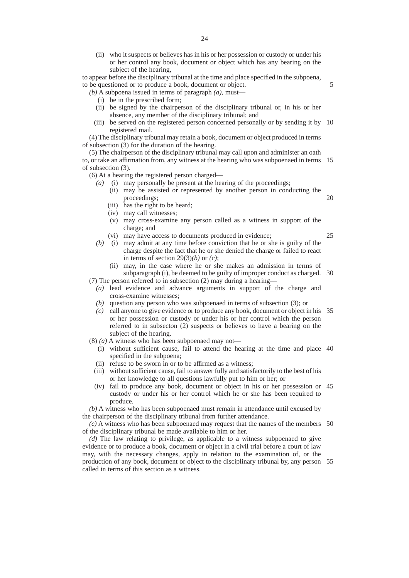(ii) who it suspects or believes has in his or her possession or custody or under his or her control any book, document or object which has any bearing on the subject of the hearing,

to appear before the disciplinary tribunal at the time and place specified in the subpoena, to be questioned or to produce a book, document or object.

- *(b)* A subpoena issued in terms of paragraph *(a)*, must—
	- (i) be in the prescribed form;
	- (ii) be signed by the chairperson of the disciplinary tribunal or, in his or her absence, any member of the disciplinary tribunal; and
	- (iii) be served on the registered person concerned personally or by sending it by 10 registered mail.

5

25

(4) The disciplinary tribunal may retain a book, document or object produced in terms of subsection (3) for the duration of the hearing.

(5) The chairperson of the disciplinary tribunal may call upon and administer an oath to, or take an affirmation from, any witness at the hearing who was subpoenaed in terms 15 of subsection (3).

(6) At a hearing the registered person charged—

- *(a)* (i) may personally be present at the hearing of the proceedings;
	- (ii) may be assisted or represented by another person in conducting the proceedings; 20
	- (iii) has the right to be heard;
	- (iv) may call witnesses;
	- (v) may cross-examine any person called as a witness in support of the charge; and
	- (vi) may have access to documents produced in evidence;
- *(b)* (i) may admit at any time before conviction that he or she is guilty of the charge despite the fact that he or she denied the charge or failed to react in terms of section 29(3)*(b)* or *(c)*;
- (ii) may, in the case where he or she makes an admission in terms of subparagraph (i), be deemed to be guilty of improper conduct as charged. 30 (7) The person referred to in subsection (2) may during a hearing—

*(a)* lead evidence and advance arguments in support of the charge and

- cross-examine witnesses;
- *(b)* question any person who was subpoenaed in terms of subsection (3); or
- *(c)* call anyone to give evidence or to produce any book, document or object in his 35 or her possession or custody or under his or her control which the person referred to in subsecton (2) suspects or believes to have a bearing on the subject of the hearing.
- (8) *(a)* A witness who has been subpoenaed may not—
	- (i) without sufficient cause, fail to attend the hearing at the time and place 40 specified in the subpoena;
	- (ii) refuse to be sworn in or to be affirmed as a witness;
	- (iii) without sufficient cause, fail to answer fully and satisfactorily to the best of his or her knowledge to all questions lawfully put to him or her; or
	- (iv) fail to produce any book, document or object in his or her possession or 45 custody or under his or her control which he or she has been required to produce.

*(b)* A witness who has been subpoenaed must remain in attendance until excused by the chairperson of the disciplinary tribunal from further attendance.

*(c)* A witness who has been subpoenaed may request that the names of the members 50 of the disciplinary tribunal be made available to him or her.

*(d)* The law relating to privilege, as applicable to a witness subpoenaed to give evidence or to produce a book, document or object in a civil trial before a court of law may, with the necessary changes, apply in relation to the examination of, or the production of any book, document or object to the disciplinary tribunal by, any person 55called in terms of this section as a witness.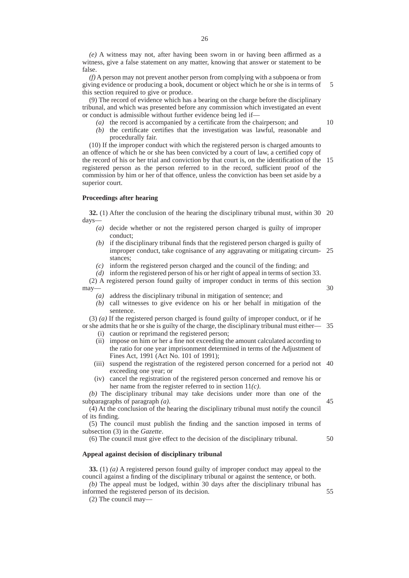*(e)* A witness may not, after having been sworn in or having been affirmed as a witness, give a false statement on any matter, knowing that answer or statement to be false.

*(f)* A person may not prevent another person from complying with a subpoena or from giving evidence or producing a book, document or object which he or she is in terms of this section required to give or produce. 5

(9) The record of evidence which has a bearing on the charge before the disciplinary tribunal, and which was presented before any commission which investigated an event or conduct is admissible without further evidence being led if—

- *(a)* the record is accompanied by a certificate from the chairperson; and
- *(b)* the certificate certifies that the investigation was lawful, reasonable and procedurally fair.

(10) If the improper conduct with which the registered person is charged amounts to an offence of which he or she has been convicted by a court of law, a certified copy of the record of his or her trial and conviction by that court is, on the identification of the 15 registered person as the person referred to in the record, sufficient proof of the commission by him or her of that offence, unless the conviction has been set aside by a superior court.

#### **Proceedings after hearing**

**32.** (1) After the conclusion of the hearing the disciplinary tribunal must, within 30 20 days—

- *(a)* decide whether or not the registered person charged is guilty of improper conduct;
- *(b)* if the disciplinary tribunal finds that the registered person charged is guilty of improper conduct, take cognisance of any aggravating or mitigating circum-25 stances;
- *(c)* inform the registered person charged and the council of the finding; and
- *(d)* inform the registered person of his or her right of appeal in terms of section 33.

(2) A registered person found guilty of improper conduct in terms of this section may—

30

10

- *(a)* address the disciplinary tribunal in mitigation of sentence; and
- *(b)* call witnesses to give evidence on his or her behalf in mitigation of the sentence.

(3) *(a)* If the registered person charged is found guilty of improper conduct, or if he or she admits that he or she is guilty of the charge, the disciplinary tribunal must either— 35

- (i) caution or reprimand the registered person;
- (ii) impose on him or her a fine not exceeding the amount calculated according to the ratio for one year imprisonment determined in terms of the Adjustment of Fines Act, 1991 (Act No. 101 of 1991);
- (iii) suspend the registration of the registered person concerned for a period not 40 exceeding one year; or
- (iv) cancel the registration of the registered person concerned and remove his or her name from the register referred to in section 11*(c)*.

*(b)* The disciplinary tribunal may take decisions under more than one of the subparagraphs of paragraph *(a)*.

(4) At the conclusion of the hearing the disciplinary tribunal must notify the council of its finding.

(5) The council must publish the finding and the sanction imposed in terms of subsection (3) in the *Gazette*.

(6) The council must give effect to the decision of the disciplinary tribunal. 50

#### **Appeal against decision of disciplinary tribunal**

**33.** (1) *(a)* A registered person found guilty of improper conduct may appeal to the council against a finding of the disciplinary tribunal or against the sentence, or both. *(b)* The appeal must be lodged, within 30 days after the disciplinary tribunal has

informed the registered person of its decision.

55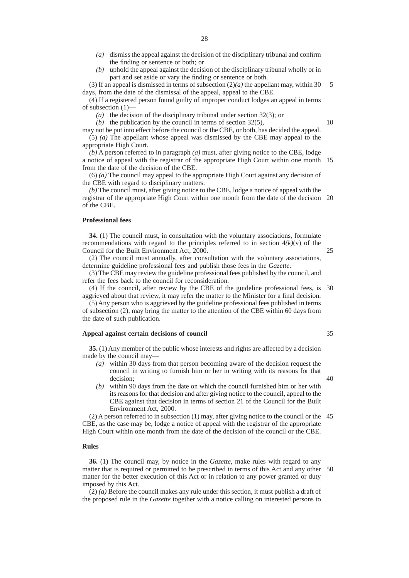- *(a)* dismiss the appeal against the decision of the disciplinary tribunal and confirm the finding or sentence or both; or
- *(b)* uphold the appeal against the decision of the disciplinary tribunal wholly or in part and set aside or vary the finding or sentence or both.

(3) If an appeal is dismissed in terms of subsection  $(2)(a)$  the appellant may, within 30 days, from the date of the dismissal of the appeal, appeal to the CBE. 5

(4) If a registered person found guilty of improper conduct lodges an appeal in terms of subsection (1)—

*(a)* the decision of the disciplinary tribunal under section 32(3); or

*(b)* the publication by the council in terms of section 32(5),

may not be put into effect before the council or the CBE, or both, has decided the appeal. (5) *(a)* The appellant whose appeal was dismissed by the CBE may appeal to the

appropriate High Court.

*(b)* A person referred to in paragraph *(a)* must, after giving notice to the CBE, lodge a notice of appeal with the registrar of the appropriate High Court within one month 15 from the date of the decision of the CBE.

(6) *(a)* The council may appeal to the appropriate High Court against any decision of the CBE with regard to disciplinary matters.

*(b)* The council must, after giving notice to the CBE, lodge a notice of appeal with the registrar of the appropriate High Court within one month from the date of the decision 20 of the CBE.

#### **Professional fees**

**34.** (1) The council must, in consultation with the voluntary associations, formulate recommendations with regard to the principles referred to in section  $4(k)(v)$  of the Council for the Built Environment Act, 2000.

(2) The council must annually, after consultation with the voluntary associations, determine guideline professional fees and publish those fees in the *Gazette*.

(3) The CBE may review the guideline professional fees published by the council, and refer the fees back to the council for reconsideration.

(4) If the council, after review by the CBE of the guideline professional fees, is 30 aggrieved about that review, it may refer the matter to the Minister for a final decision.

(5) Any person who is aggrieved by the guideline professional fees published in terms of subsection (2), may bring the matter to the attention of the CBE within 60 days from the date of such publication.

#### **Appeal against certain decisions of council**

**35.** (1) Any member of the public whose interests and rights are affected by a decision made by the council may—

- *(a)* within 30 days from that person becoming aware of the decision request the council in writing to furnish him or her in writing with its reasons for that decision;
- *(b)* within 90 days from the date on which the council furnished him or her with its reasons for that decision and after giving notice to the council, appeal to the CBE against that decision in terms of section 21 of the Council for the Built Environment Act, 2000.

(2) A person referred to in subsection (1) may, after giving notice to the council or the 45 CBE, as the case may be, lodge a notice of appeal with the registrar of the appropriate High Court within one month from the date of the decision of the council or the CBE.

#### **Rules**

**36.** (1) The council may, by notice in the *Gazette*, make rules with regard to any matter that is required or permitted to be prescribed in terms of this Act and any other 50matter for the better execution of this Act or in relation to any power granted or duty imposed by this Act.

 $(2)$  (*a*) Before the council makes any rule under this section, it must publish a draft of the proposed rule in the *Gazette* together with a notice calling on interested persons to

35

25

40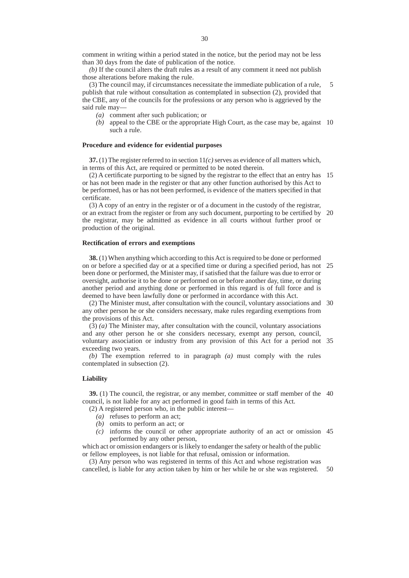comment in writing within a period stated in the notice, but the period may not be less than 30 days from the date of publication of the notice.

*(b)* If the council alters the draft rules as a result of any comment it need not publish those alterations before making the rule.

(3) The council may, if circumstances necessitate the immediate publication of a rule, publish that rule without consultation as contemplated in subsection (2), provided that the CBE, any of the councils for the professions or any person who is aggrieved by the said rule may— 5

- *(a)* comment after such publication; or
- *(b)* appeal to the CBE or the appropriate High Court, as the case may be, against 10 such a rule.

#### **Procedure and evidence for evidential purposes**

**37.** (1) The register referred to in section  $11(c)$  serves as evidence of all matters which, in terms of this Act, are required or permitted to be noted therein.

(2) A certificate purporting to be signed by the registrar to the effect that an entry has 15 or has not been made in the register or that any other function authorised by this Act to be performed, has or has not been performed, is evidence of the matters specified in that certificate.

(3) A copy of an entry in the register or of a document in the custody of the registrar, or an extract from the register or from any such document, purporting to be certified by 20 the registrar, may be admitted as evidence in all courts without further proof or production of the original.

#### **Rectification of errors and exemptions**

**38.** (1) When anything which according to this Act is required to be done or performed on or before a specified day or at a specified time or during a specified period, has not 25 been done or performed, the Minister may, if satisfied that the failure was due to error or oversight, authorise it to be done or performed on or before another day, time, or during another period and anything done or performed in this regard is of full force and is deemed to have been lawfully done or performed in accordance with this Act.

(2) The Minister must, after consultation with the council, voluntary associations and 30 any other person he or she considers necessary, make rules regarding exemptions from the provisions of this Act.

(3) *(a)* The Minister may, after consultation with the council, voluntary associations and any other person he or she considers necessary, exempt any person, council, voluntary association or industry from any provision of this Act for a period not 35 exceeding two years.

*(b)* The exemption referred to in paragraph *(a)* must comply with the rules contemplated in subsection (2).

#### **Liability**

**39.** (1) The council, the registrar, or any member, committee or staff member of the 40 council, is not liable for any act performed in good faith in terms of this Act.

(2) A registered person who, in the public interest—

- *(a)* refuses to perform an act;
- *(b)* omits to perform an act; or
- *(c)* informs the council or other appropriate authority of an act or omission 45 performed by any other person,

which act or omission endangers or is likely to endanger the safety or health of the public or fellow employees, is not liable for that refusal, omission or information.

(3) Any person who was registered in terms of this Act and whose registration was cancelled, is liable for any action taken by him or her while he or she was registered. 50